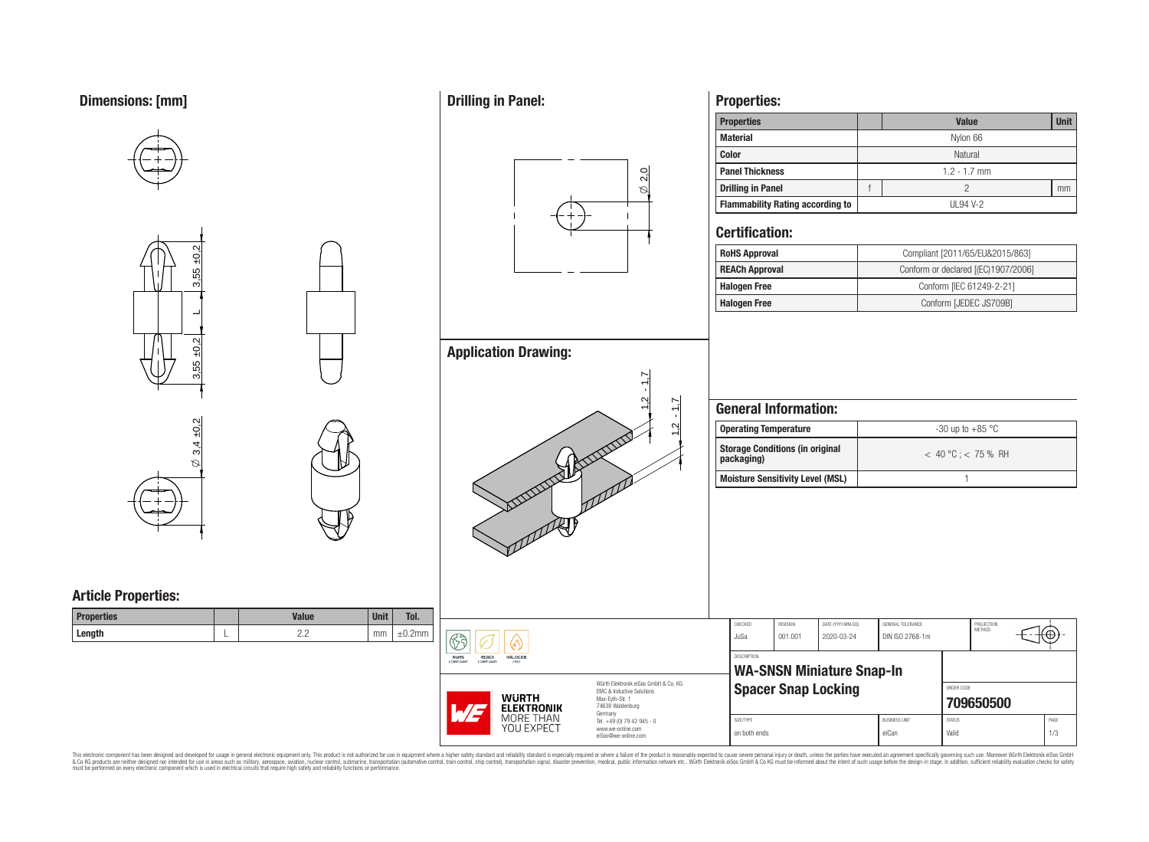## **Dimensions: [mm]**



**Drilling in Panel:**

## **Properties:**

| <b>Properties</b>                       |                | <b>Value</b> | <b>Unit</b> |  |  |
|-----------------------------------------|----------------|--------------|-------------|--|--|
| <b>Material</b>                         |                | Nylon 66     |             |  |  |
| Color                                   | Natural        |              |             |  |  |
| <b>Panel Thickness</b>                  | $1.2 - 1.7$ mm |              |             |  |  |
| <b>Drilling in Panel</b>                |                |              | mm          |  |  |
| <b>Flammability Rating according to</b> |                | UL94 V-2     |             |  |  |

### **Certification:**

 $\infty$ 2,0

1,2 - 1,7

1,2 - 1,7

| <b>RoHS Approval</b>  | Compliant [2011/65/EU&2015/863]     |  |  |  |  |  |
|-----------------------|-------------------------------------|--|--|--|--|--|
| <b>REACh Approval</b> | Conform or declared [(EC)1907/2006] |  |  |  |  |  |
| <b>Halogen Free</b>   | Conform [IEC 61249-2-21]            |  |  |  |  |  |
| <b>Halogen Free</b>   | Conform [JEDEC JS709B]              |  |  |  |  |  |

# **General Information:**

| Operating Temperature                                | -30 up to $+85\text{ °C}$ |
|------------------------------------------------------|---------------------------|
| <b>Storage Conditions (in original</b><br>packaging) | $< 40 °C$ ; $< 75 \%$ RH  |
| Moisture Sensitivity Level (MSL)                     |                           |

| Γol.<br>.2mm | रु<br>RoHS<br><b>REACh</b><br><b>HALOGEN</b><br>COMPLIANT<br>FREE<br>COMPLIANT |                                                                                                                                | CHECKED<br>JuSa                                 | REVISION<br>001.001        | DATE (YYYY-MM-DD)<br>2020-03-24 | GENERAL TOLERANCE<br>DIN ISO 2768-1m | PROJECTION<br>METHOD    | ₩           |
|--------------|--------------------------------------------------------------------------------|--------------------------------------------------------------------------------------------------------------------------------|-------------------------------------------------|----------------------------|---------------------------------|--------------------------------------|-------------------------|-------------|
|              |                                                                                |                                                                                                                                | DESCRIPTION<br><b>WA-SNSN Miniature Snap-In</b> |                            |                                 |                                      |                         |             |
|              | <b>WURTH</b><br>$\sqrt{1-t}$<br><b>ELEKTRONIK</b><br>MORE THAN<br>YOU EXPECT   | Würth Elektronik eiSos GmbH & Co. KG<br><b>FMC &amp; Inductive Solutions</b><br>Max-Eyth-Str. 1<br>74638 Waldenburg<br>Germany |                                                 | <b>Spacer Snap Locking</b> |                                 |                                      | ORDER CODE<br>709650500 |             |
|              |                                                                                | Tel. +49 (0) 79 42 945 - 0<br>www.we-online.com<br>eiSos@we-online.com                                                         | SIZE/TYPE<br>on both ends                       |                            |                                 | <b>BUSINESS UNIT</b><br>eiCan        | <b>STATUS</b><br>Valid  | PAGE<br>1/3 |

This electronic component has been designed and developed for usage in general electronic equipment only. This product is not authorized for subserved requipment where a higher selection equipment where a higher selection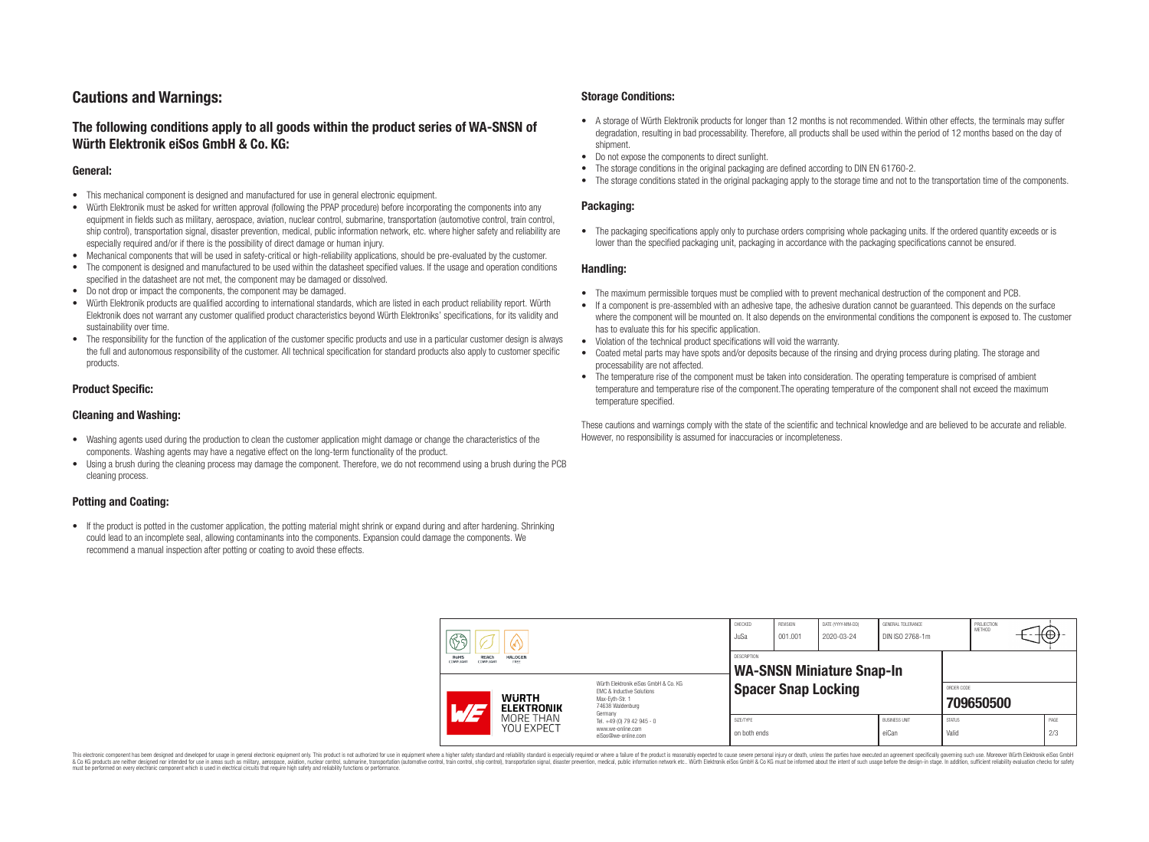## **Cautions and Warnings:**

### **The following conditions apply to all goods within the product series of WA-SNSN of Würth Elektronik eiSos GmbH & Co. KG:**

#### **General:**

- This mechanical component is designed and manufactured for use in general electronic equipment.
- Würth Elektronik must be asked for written approval (following the PPAP procedure) before incorporating the components into any equipment in fields such as military, aerospace, aviation, nuclear control, submarine, transportation (automotive control, train control, ship control), transportation signal, disaster prevention, medical, public information network, etc. where higher safety and reliability are especially required and/or if there is the possibility of direct damage or human injury.
- Mechanical components that will be used in safety-critical or high-reliability applications, should be pre-evaluated by the customer.
- The component is designed and manufactured to be used within the datasheet specified values. If the usage and operation conditions specified in the datasheet are not met, the component may be damaged or dissolved.
- Do not drop or impact the components, the component may be damaged.<br>• Wirth Elektronik products are qualified according to international standard
- Würth Elektronik products are qualified according to international standards, which are listed in each product reliability report. Würth Elektronik does not warrant any customer qualified product characteristics beyond Würth Elektroniks' specifications, for its validity and sustainability over time.
- The responsibility for the function of the application of the customer specific products and use in a particular customer design is always the full and autonomous responsibility of the customer. All technical specification for standard products also apply to customer specific products.

#### **Product Specific:**

#### **Cleaning and Washing:**

- Washing agents used during the production to clean the customer application might damage or change the characteristics of the components. Washing agents may have a negative effect on the long-term functionality of the product.
- Using a brush during the cleaning process may damage the component. Therefore, we do not recommend using a brush during the PCB cleaning process.

#### **Potting and Coating:**

• If the product is potted in the customer application, the potting material might shrink or expand during and after hardening. Shrinking could lead to an incomplete seal, allowing contaminants into the components. Expansion could damage the components. We recommend a manual inspection after potting or coating to avoid these effects.

#### **Storage Conditions:**

- A storage of Würth Elektronik products for longer than 12 months is not recommended. Within other effects, the terminals may suffer degradation, resulting in bad processability. Therefore, all products shall be used within the period of 12 months based on the day of shipment.
- Do not expose the components to direct sunlight.<br>• The storage conditions in the original packaging
- The storage conditions in the original packaging are defined according to DIN EN 61760-2.
- The storage conditions stated in the original packaging apply to the storage time and not to the transportation time of the components.

#### **Packaging:**

• The packaging specifications apply only to purchase orders comprising whole packaging units. If the ordered quantity exceeds or is lower than the specified packaging unit, packaging in accordance with the packaging specifications cannot be ensured.

#### **Handling:**

- The maximum permissible torques must be complied with to prevent mechanical destruction of the component and PCB.
- If a component is pre-assembled with an adhesive tape, the adhesive duration cannot be guaranteed. This depends on the surface where the component will be mounted on. It also depends on the environmental conditions the component is exposed to. The customer has to evaluate this for his specific application.
- Violation of the technical product specifications will void the warranty.
- Coated metal parts may have spots and/or deposits because of the rinsing and drying process during plating. The storage and processability are not affected.
- The temperature rise of the component must be taken into consideration. The operating temperature is comprised of ambient temperature and temperature rise of the component.The operating temperature of the component shall not exceed the maximum temperature specified.

These cautions and warnings comply with the state of the scientific and technical knowledge and are believed to be accurate and reliable. However, no responsibility is assumed for inaccuracies or incompleteness.

| 63<br>W<br><b>REACh</b><br>RoHS<br><b>HALOGEN</b><br><b>COMPLIANT</b><br>FREE<br>COMPLIANT |                                                                                                                                                                           | CHECKED<br>JuSa                                        | <b>REVISION</b><br>001.001                                             | DATE (YYYY-MM-DD)<br>2020-03-24 | GENERAL TOLERANCE<br>DIN ISO 2768-1m |  | PROJECTION<br>METHOD          |                        | ᠇ᡃᡕᡦᠦᡟ                  |  |             |
|--------------------------------------------------------------------------------------------|---------------------------------------------------------------------------------------------------------------------------------------------------------------------------|--------------------------------------------------------|------------------------------------------------------------------------|---------------------------------|--------------------------------------|--|-------------------------------|------------------------|-------------------------|--|-------------|
|                                                                                            |                                                                                                                                                                           | <b>DESCRIPTION</b><br><b>WA-SNSN Miniature Snap-In</b> |                                                                        |                                 |                                      |  |                               |                        |                         |  |             |
|                                                                                            | Würth Flektronik eiSos GmbH & Co. KG<br>FMC & Inductive Solutions<br><b>WURTH</b><br>Max-Evth-Str. 1<br>74638 Waldenburg<br>$\overline{\phantom{a}}$<br><b>ELEKTRONIK</b> |                                                        | Germany                                                                | <b>Spacer Snap Locking</b>      |                                      |  |                               |                        | ORDER CODE<br>709650500 |  |             |
|                                                                                            |                                                                                                                                                                           | MORE THAN<br>YOU EXPECT                                | Tel. +49 (0) 79 42 945 - 0<br>www.we-online.com<br>eiSos@we-online.com | SIZE/TYPE<br>on both ends       |                                      |  | <b>BUSINESS UNIT</b><br>eiCan | <b>STATUS</b><br>Valid |                         |  | PAGE<br>2/3 |

This electronic component has been designed and developed for usage in general electronic equipment only. This product is not authorized for use in equipment where a higher safety standard and reliability standard si espec & Ook product a label and the membed of the seasuch as marked and as which such a membed and the such assume that income in the seasuch and the simulation and the such assume that include to the such a membed and the such